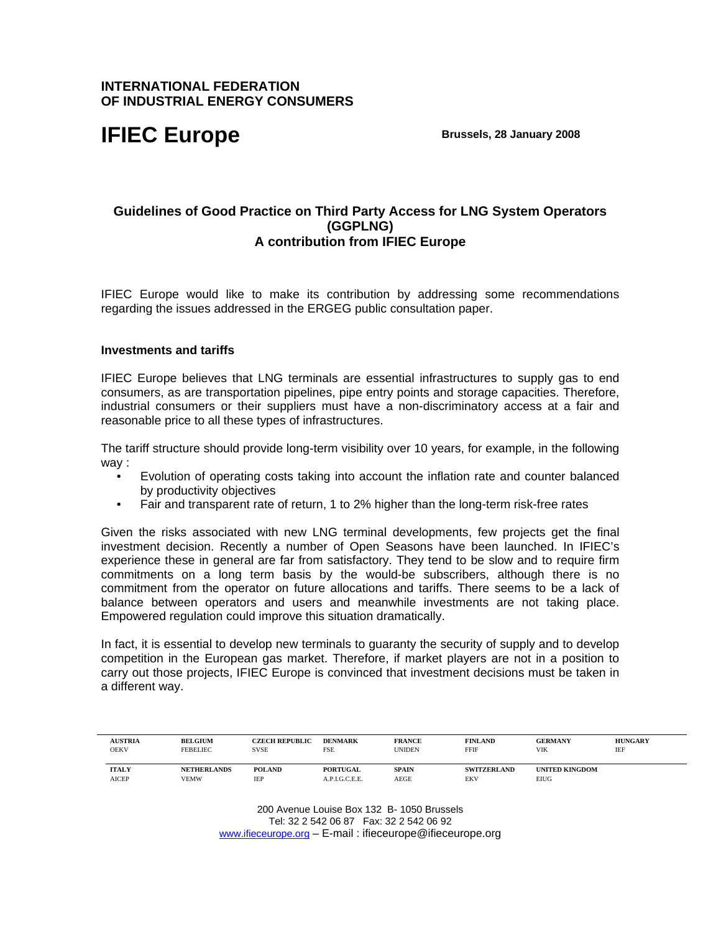# **INTERNATIONAL FEDERATION OF INDUSTRIAL ENERGY CONSUMERS**

# **IFIEC Europe** Brussels, 28 January 2008

# **Guidelines of Good Practice on Third Party Access for LNG System Operators (GGPLNG) A contribution from IFIEC Europe**

IFIEC Europe would like to make its contribution by addressing some recommendations regarding the issues addressed in the ERGEG public consultation paper.

## **Investments and tariffs**

IFIEC Europe believes that LNG terminals are essential infrastructures to supply gas to end consumers, as are transportation pipelines, pipe entry points and storage capacities. Therefore, industrial consumers or their suppliers must have a non-discriminatory access at a fair and reasonable price to all these types of infrastructures.

The tariff structure should provide long-term visibility over 10 years, for example, in the following way :

- Evolution of operating costs taking into account the inflation rate and counter balanced by productivity objectives
- Fair and transparent rate of return, 1 to 2% higher than the long-term risk-free rates

Given the risks associated with new LNG terminal developments, few projects get the final investment decision. Recently a number of Open Seasons have been launched. In IFIEC's experience these in general are far from satisfactory. They tend to be slow and to require firm commitments on a long term basis by the would-be subscribers, although there is no commitment from the operator on future allocations and tariffs. There seems to be a lack of balance between operators and users and meanwhile investments are not taking place. Empowered regulation could improve this situation dramatically.

In fact, it is essential to develop new terminals to guaranty the security of supply and to develop competition in the European gas market. Therefore, if market players are not in a position to carry out those projects, IFIEC Europe is convinced that investment decisions must be taken in a different way.

| <b>AUSTRIA</b><br>OEKV | <b>BELGIUM</b><br><b>FEBELIEC</b> | <b>CZECH REPUBLIC</b><br><b>SVSE</b> | <b>DENMARK</b><br><b>FSE</b> | <b>FRANCE</b><br>UNIDEN | <b>FINLAND</b><br>FFIF | <b>GERMANY</b><br><b>VIK</b> | <b>HUNGARY</b><br>IEF |
|------------------------|-----------------------------------|--------------------------------------|------------------------------|-------------------------|------------------------|------------------------------|-----------------------|
| <b>ITALY</b>           | <b>NETHERLANDS</b>                | <b>POLAND</b>                        | PORTUGAL                     | <b>SPAIN</b>            | <b>SWITZERLAND</b>     | <b>UNITED KINGDOM</b>        |                       |
| <b>AICEP</b>           | <b>VEMW</b>                       | IEP                                  | A.P.I.G.C.E.E.               | AEGE                    | EKV                    | <b>EIUG</b>                  |                       |

200 Avenue Louise Box 132 B- 1050 Brussels Tel: 32 2 542 06 87 Fax: 32 2 542 06 92 www.ifieceurope.org – E-mail : ifieceurope@ifieceurope.org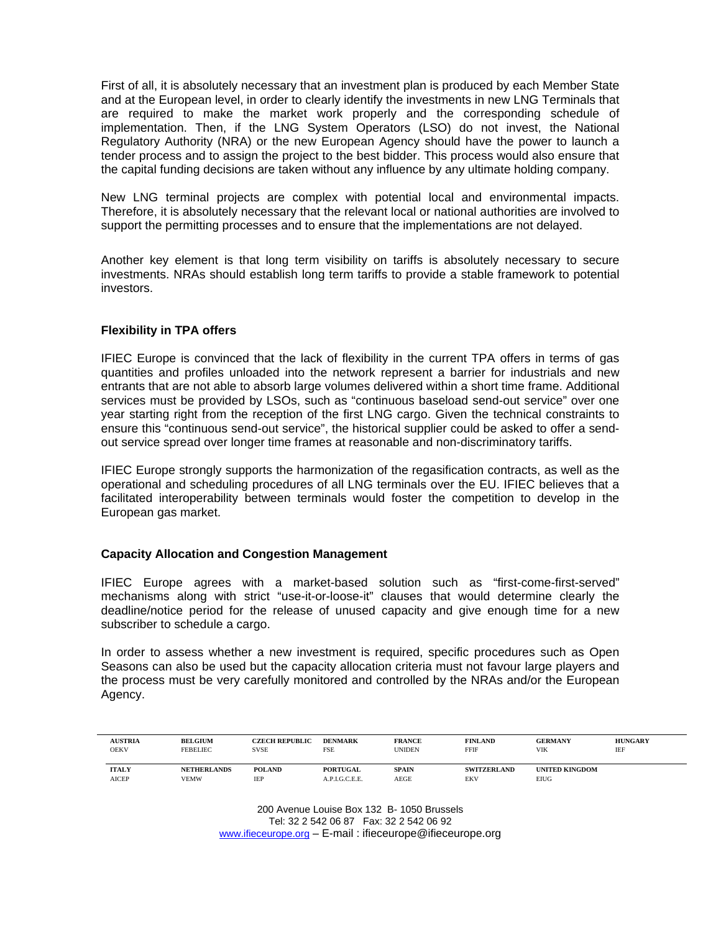First of all, it is absolutely necessary that an investment plan is produced by each Member State and at the European level, in order to clearly identify the investments in new LNG Terminals that are required to make the market work properly and the corresponding schedule of implementation. Then, if the LNG System Operators (LSO) do not invest, the National Regulatory Authority (NRA) or the new European Agency should have the power to launch a tender process and to assign the project to the best bidder. This process would also ensure that the capital funding decisions are taken without any influence by any ultimate holding company.

New LNG terminal projects are complex with potential local and environmental impacts. Therefore, it is absolutely necessary that the relevant local or national authorities are involved to support the permitting processes and to ensure that the implementations are not delayed.

Another key element is that long term visibility on tariffs is absolutely necessary to secure investments. NRAs should establish long term tariffs to provide a stable framework to potential investors.

# **Flexibility in TPA offers**

IFIEC Europe is convinced that the lack of flexibility in the current TPA offers in terms of gas quantities and profiles unloaded into the network represent a barrier for industrials and new entrants that are not able to absorb large volumes delivered within a short time frame. Additional services must be provided by LSOs, such as "continuous baseload send-out service" over one year starting right from the reception of the first LNG cargo. Given the technical constraints to ensure this "continuous send-out service", the historical supplier could be asked to offer a sendout service spread over longer time frames at reasonable and non-discriminatory tariffs.

IFIEC Europe strongly supports the harmonization of the regasification contracts, as well as the operational and scheduling procedures of all LNG terminals over the EU. IFIEC believes that a facilitated interoperability between terminals would foster the competition to develop in the European gas market.

## **Capacity Allocation and Congestion Management**

IFIEC Europe agrees with a market-based solution such as "first-come-first-served" mechanisms along with strict "use-it-or-loose-it" clauses that would determine clearly the deadline/notice period for the release of unused capacity and give enough time for a new subscriber to schedule a cargo.

In order to assess whether a new investment is required, specific procedures such as Open Seasons can also be used but the capacity allocation criteria must not favour large players and the process must be very carefully monitored and controlled by the NRAs and/or the European Agency.

| <b>AUSTRIA</b><br>OEKV | <b>BELGIUM</b><br><b>FEBELIEC</b> | <b>CZECH REPUBLIC</b><br>SVSE | <b>DENMARK</b><br>FSE | <b>FRANCE</b><br><b>UNIDEN</b> | <b>FINLAND</b><br>FFIF | <b>GERMANY</b><br>VIK | <b>HUNGARY</b><br>IEF |
|------------------------|-----------------------------------|-------------------------------|-----------------------|--------------------------------|------------------------|-----------------------|-----------------------|
| <b>ITALY</b>           | <b>NETHERLANDS</b>                | <b>POLAND</b>                 | <b>PORTUGAL</b>       | <b>SPAIN</b>                   | <b>SWITZERLAND</b>     | <b>UNITED KINGDOM</b> |                       |
| <b>AICEP</b>           | VEMW                              | IEP                           | A.P.I.G.C.E.E.        | AEGE                           | EKV                    | <b>EIUG</b>           |                       |

200 Avenue Louise Box 132 B- 1050 Brussels Tel: 32 2 542 06 87 Fax: 32 2 542 06 92 www.ifieceurope.org – E-mail : ifieceurope@ifieceurope.org